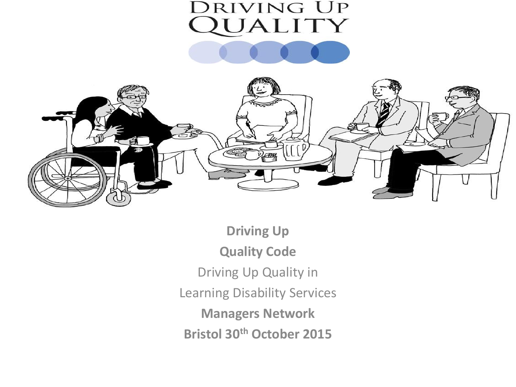# **DRIVING UP** UALITY



**Driving Up Quality Code** Driving Up Quality in Learning Disability Services **Managers Network Bristol 30th October 2015**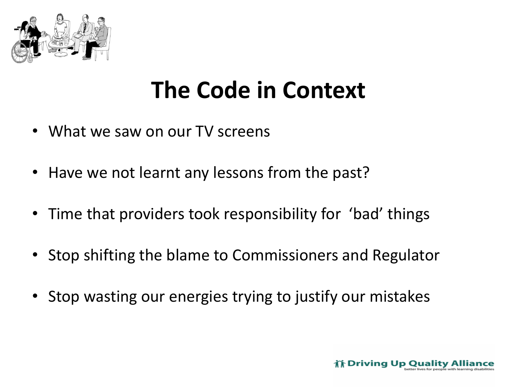

## **The Code in Context**

- What we saw on our TV screens
- Have we not learnt any lessons from the past?
- Time that providers took responsibility for 'bad' things
- Stop shifting the blame to Commissioners and Regulator
- Stop wasting our energies trying to justify our mistakes

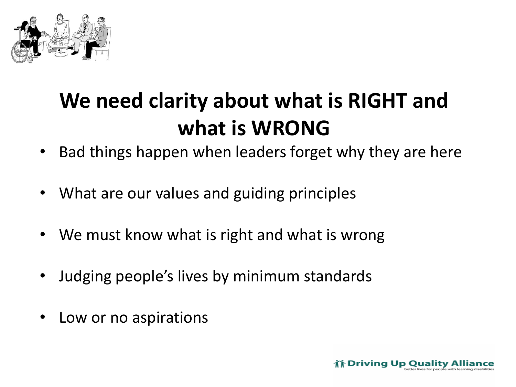

## **We need clarity about what is RIGHT and what is WRONG**

- Bad things happen when leaders forget why they are here
- What are our values and guiding principles
- We must know what is right and what is wrong
- Judging people's lives by minimum standards
- Low or no aspirations

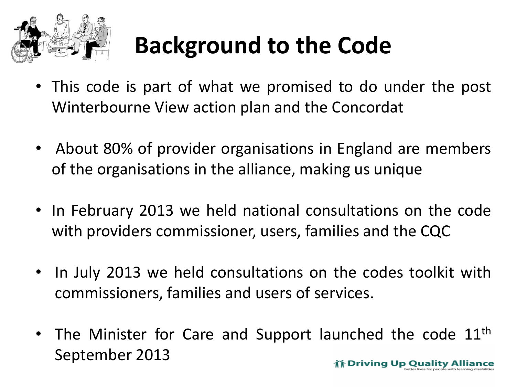

# **Background to the Code**

- This code is part of what we promised to do under the post Winterbourne View action plan and the Concordat
- About 80% of provider organisations in England are members of the organisations in the alliance, making us unique
- In February 2013 we held national consultations on the code with providers commissioner, users, families and the CQC
- In July 2013 we held consultations on the codes toolkit with commissioners, families and users of services.
- The Minister for Care and Support launched the code  $11<sup>th</sup>$ September 2013ith Driving Up Quality Allia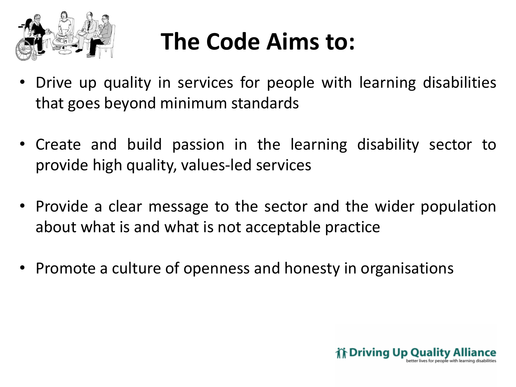

# **The Code Aims to:**

- Drive up quality in services for people with learning disabilities that goes beyond minimum standards
- Create and build passion in the learning disability sector to provide high quality, values-led services
- Provide a clear message to the sector and the wider population about what is and what is not acceptable practice
- Promote a culture of openness and honesty in organisations

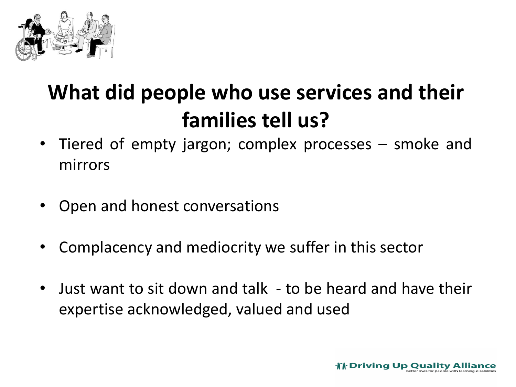

## **What did people who use services and their families tell us?**

- Tiered of empty jargon; complex processes smoke and mirrors
- Open and honest conversations
- Complacency and mediocrity we suffer in this sector
- Just want to sit down and talk to be heard and have their expertise acknowledged, valued and used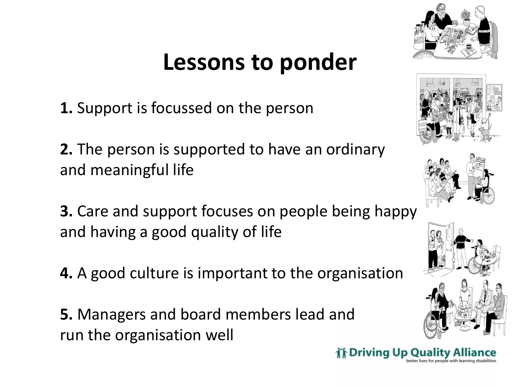## **Lessons to ponder**

**1.** Support is focussed on the person

**2.** The person is supported to have an ordinary and meaningful life

- **3.** Care and support focuses on people being happy and having a good quality of life
- **4.** A good culture is important to the organisation

**5.** Managers and board members lead and run the organisation well









inth Driving Up Quality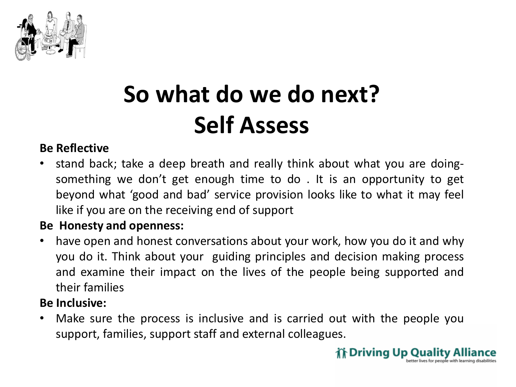

# **So what do we do next? Self Assess**

#### **Be Reflective**

• stand back; take a deep breath and really think about what you are doingsomething we don't get enough time to do . It is an opportunity to get beyond what 'good and bad' service provision looks like to what it may feel like if you are on the receiving end of support

#### **Be Honesty and openness:**

• have open and honest conversations about your work, how you do it and why you do it. Think about your guiding principles and decision making process and examine their impact on the lives of the people being supported and their families

#### **Be Inclusive:**

• Make sure the process is inclusive and is carried out with the people you support, families, support staff and external colleagues.

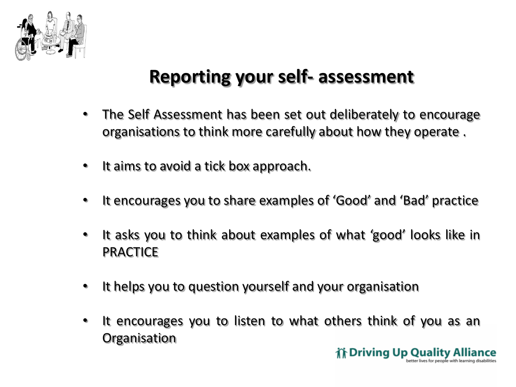

## **Reporting your self- assessment**

- The Self Assessment has been set out deliberately to encourage organisations to think more carefully about how they operate .
- It aims to avoid a tick box approach.
- It encourages you to share examples of 'Good' and 'Bad' practice
- It asks you to think about examples of what 'good' looks like in **PRACTICE**
- It helps you to question yourself and your organisation
- It encourages you to listen to what others think of you as an **Organisation**

**if Driving Up Quality A**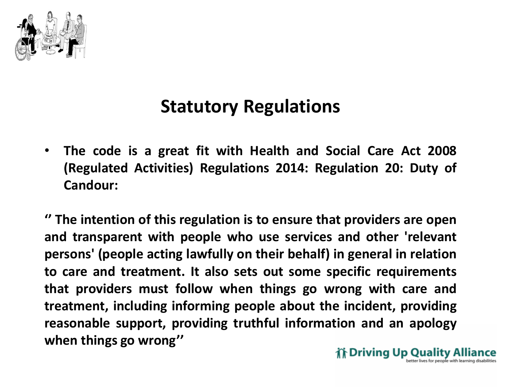

### **Statutory Regulations**

• **The code is a great fit with Health and Social Care Act 2008 (Regulated Activities) Regulations 2014: Regulation 20: Duty of Candour:**

**'' The intention of this regulation is to ensure that providers are open and transparent with people who use services and other 'relevant persons' (people acting lawfully on their behalf) in general in relation to care and treatment. It also sets out some specific requirements that providers must follow when things go wrong with care and treatment, including informing people about the incident, providing reasonable support, providing truthful information and an apology when things go wrong''**

int Driving Up Quality A ter lives for people with learning disabili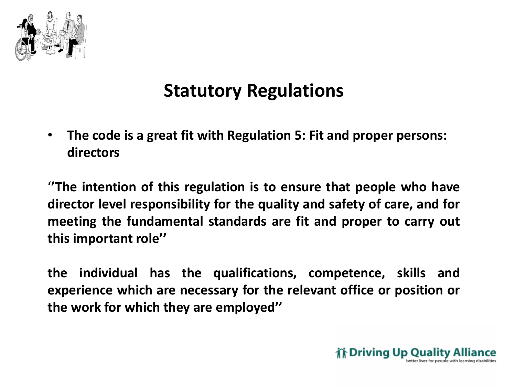

## **Statutory Regulations**

• **The code is a great fit with Regulation 5: Fit and proper persons: directors**

'**'The intention of this regulation is to ensure that people who have director level responsibility for the quality and safety of care, and for meeting the fundamental standards are fit and proper to carry out this important role''**

**the individual has the qualifications, competence, skills and experience which are necessary for the relevant office or position or the work for which they are employed''**

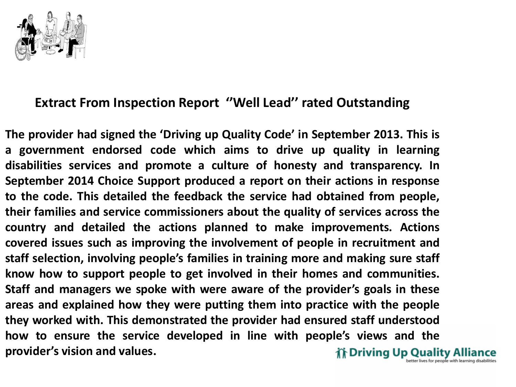

#### **Extract From Inspection Report ''Well Lead'' rated Outstanding**

**The provider had signed the 'Driving up Quality Code' in September 2013. This is a government endorsed code which aims to drive up quality in learning disabilities services and promote a culture of honesty and transparency. In September 2014 Choice Support produced a report on their actions in response to the code. This detailed the feedback the service had obtained from people, their families and service commissioners about the quality of services across the country and detailed the actions planned to make improvements. Actions covered issues such as improving the involvement of people in recruitment and staff selection, involving people's families in training more and making sure staff know how to support people to get involved in their homes and communities. Staff and managers we spoke with were aware of the provider's goals in these areas and explained how they were putting them into practice with the people they worked with. This demonstrated the provider had ensured staff understood how to ensure the service developed in line with people's views and the provider's vision and values.**inth Driving Up Quality Allia etter lives for people with learning disabilit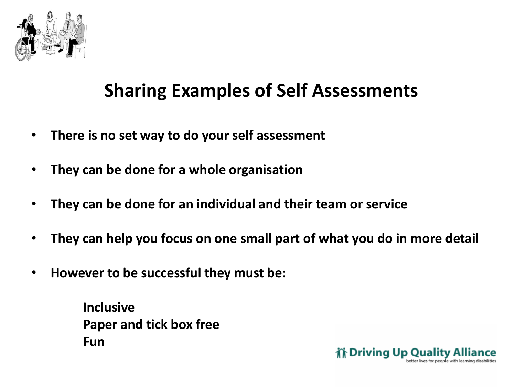

### **Sharing Examples of Self Assessments**

- **There is no set way to do your self assessment**
- **They can be done for a whole organisation**
- **They can be done for an individual and their team or service**
- **They can help you focus on one small part of what you do in more detail**
- **However to be successful they must be:**

**Inclusive Paper and tick box free Fun**

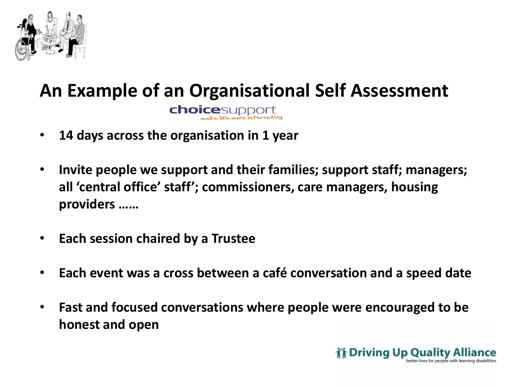

### **An Example of an Organisational Self Assessment choice**support

- **14 days across the organisation in 1 year**
- **Invite people we support and their families; support staff; managers; all 'central office' staff'; commissioners, care managers, housing providers ……**
- **Each session chaired by a Trustee**
- **Each event was a cross between a café conversation and a speed date**
- **Fast and focused conversations where people were encouraged to be honest and open**

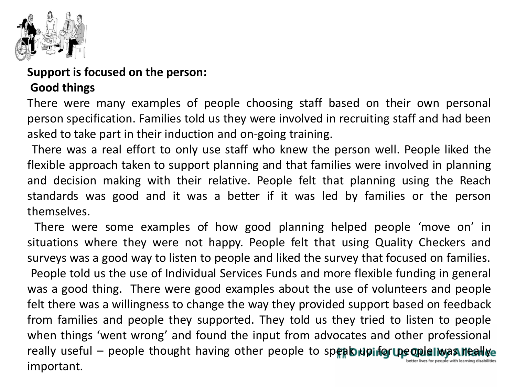

**Support is focused on the person:**

#### **Good things**

There were many examples of people choosing staff based on their own personal person specification. Families told us they were involved in recruiting staff and had been asked to take part in their induction and on-going training.

There was a real effort to only use staff who knew the person well. People liked the flexible approach taken to support planning and that families were involved in planning and decision making with their relative. People felt that planning using the Reach standards was good and it was a better if it was led by families or the person themselves.

There were some examples of how good planning helped people 'move on' in situations where they were not happy. People felt that using Quality Checkers and surveys was a good way to listen to people and liked the survey that focused on families. People told us the use of Individual Services Funds and more flexible funding in general was a good thing. There were good examples about the use of volunteers and people felt there was a willingness to change the way they provided support based on feedback from families and people they supported. They told us they tried to listen to people when things 'went wrong' and found the input from advocates and other professional really useful - people thought having other people to speak upinfor up ople I was lieally etter lives for people with learning disabilitie important.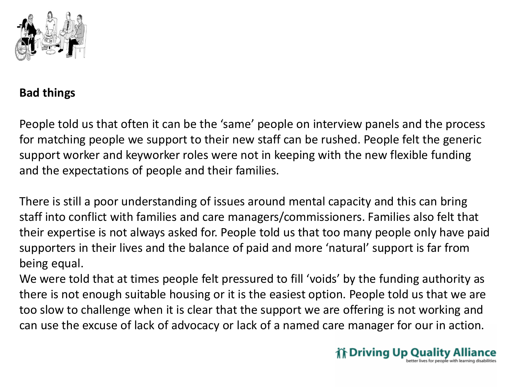

#### **Bad things**

People told us that often it can be the 'same' people on interview panels and the process for matching people we support to their new staff can be rushed. People felt the generic support worker and keyworker roles were not in keeping with the new flexible funding and the expectations of people and their families.

There is still a poor understanding of issues around mental capacity and this can bring staff into conflict with families and care managers/commissioners. Families also felt that their expertise is not always asked for. People told us that too many people only have paid supporters in their lives and the balance of paid and more 'natural' support is far from being equal.

We were told that at times people felt pressured to fill 'voids' by the funding authority as there is not enough suitable housing or it is the easiest option. People told us that we are too slow to challenge when it is clear that the support we are offering is not working and can use the excuse of lack of advocacy or lack of a named care manager for our in action.

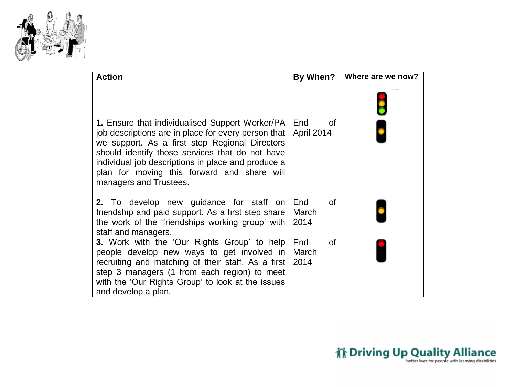

| <b>Action</b>                                                                                                                                                                                                                                                                                                                              | By When?                       | Where are we now? |
|--------------------------------------------------------------------------------------------------------------------------------------------------------------------------------------------------------------------------------------------------------------------------------------------------------------------------------------------|--------------------------------|-------------------|
|                                                                                                                                                                                                                                                                                                                                            |                                |                   |
| 1. Ensure that individualised Support Worker/PA<br>job descriptions are in place for every person that<br>we support. As a first step Regional Directors<br>should identify those services that do not have<br>individual job descriptions in place and produce a<br>plan for moving this forward and share will<br>managers and Trustees. | <b>of</b><br>End<br>April 2014 |                   |
| 2. To develop new guidance for staff<br>on<br>friendship and paid support. As a first step share<br>the work of the 'friendships working group' with<br>staff and managers.                                                                                                                                                                | End<br>οf<br>March<br>2014     |                   |
| <b>3.</b> Work with the 'Our Rights Group' to help<br>people develop new ways to get involved in<br>recruiting and matching of their staff. As a first<br>step 3 managers (1 from each region) to meet<br>with the 'Our Rights Group' to look at the issues<br>and develop a plan.                                                         | End<br>οf<br>March<br>2014     |                   |